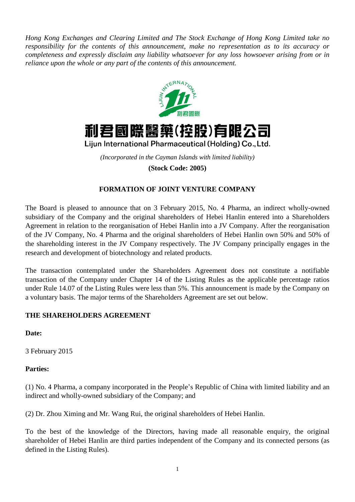*Hong Kong Exchanges and Clearing Limited and The Stock Exchange of Hong Kong Limited take no responsibility for the contents of this announcement, make no representation as to its accuracy or completeness and expressly disclaim any liability whatsoever for any loss howsoever arising from or in reliance upon the whole or any part of the contents of this announcement.*





Lijun International Pharmaceutical (Holding) Co., Ltd.

*(Incorporated in the Cayman Islands with limited liability)* **(Stock Code: 2005)**

# **FORMATION OF JOINT VENTURE COMPANY**

The Board is pleased to announce that on 3 February 2015, No. 4 Pharma, an indirect wholly-owned subsidiary of the Company and the original shareholders of Hebei Hanlin entered into a Shareholders Agreement in relation to the reorganisation of Hebei Hanlin into a JV Company. After the reorganisation of the JV Company, No. 4 Pharma and the original shareholders of Hebei Hanlin own 50% and 50% of the shareholding interest in the JV Company respectively. The JV Company principally engages in the research and development of biotechnology and related products.

The transaction contemplated under the Shareholders Agreement does not constitute a notifiable transaction of the Company under Chapter 14 of the Listing Rules as the applicable percentage ratios under Rule 14.07 of the Listing Rules were less than 5%. This announcement is made by the Company on a voluntary basis. The major terms of the Shareholders Agreement are set out below.

## **THE SHAREHOLDERS AGREEMENT**

**Date:**

3 February 2015

#### **Parties:**

(1) No. 4 Pharma, a company incorporated in the People's Republic of China with limited liability and an indirect and wholly-owned subsidiary of the Company; and

(2) Dr. Zhou Ximing and Mr. Wang Rui, the original shareholders of Hebei Hanlin.

To the best of the knowledge of the Directors, having made all reasonable enquiry, the original shareholder of Hebei Hanlin are third parties independent of the Company and its connected persons (as defined in the Listing Rules).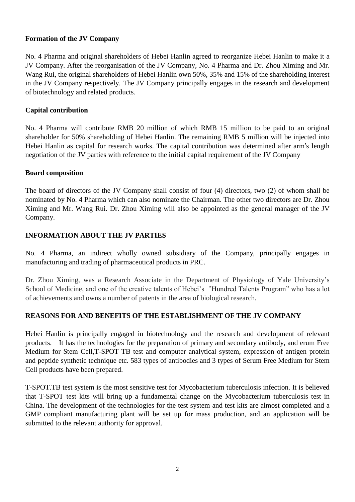### **Formation of the JV Company**

No. 4 Pharma and original shareholders of Hebei Hanlin agreed to reorganize Hebei Hanlin to make it a JV Company. After the reorganisation of the JV Company, No. 4 Pharma and Dr. Zhou Ximing and Mr. Wang Rui, the original shareholders of Hebei Hanlin own 50%, 35% and 15% of the shareholding interest in the JV Company respectively. The JV Company principally engages in the research and development of biotechnology and related products.

### **Capital contribution**

No. 4 Pharma will contribute RMB 20 million of which RMB 15 million to be paid to an original shareholder for 50% shareholding of Hebei Hanlin. The remaining RMB 5 million will be injected into Hebei Hanlin as capital for research works. The capital contribution was determined after arm's length negotiation of the JV parties with reference to the initial capital requirement of the JV Company

#### **Board composition**

The board of directors of the JV Company shall consist of four (4) directors, two (2) of whom shall be nominated by No. 4 Pharma which can also nominate the Chairman. The other two directors are Dr. Zhou Ximing and Mr. Wang Rui. Dr. Zhou Ximing will also be appointed as the general manager of the JV Company.

## **INFORMATION ABOUT THE JV PARTIES**

No. 4 Pharma, an indirect wholly owned subsidiary of the Company, principally engages in manufacturing and trading of pharmaceutical products in PRC.

Dr. Zhou Ximing, was a Research Associate in the Department of Physiology of Yale University's School of Medicine, and one of the creative talents of Hebei's "Hundred Talents Program" who has a lot of achievements and owns a number of patents in the area of biological research.

## **REASONS FOR AND BENEFITS OF THE ESTABLISHMENT OF THE JV COMPANY**

Hebei Hanlin is principally engaged in biotechnology and the research and development of relevant products. It has the technologies for the preparation of primary and secondary antibody, and erum Free Medium for Stem Cell,T-SPOT TB test and computer analytical system, expression of antigen protein and peptide [synthetic technique](http://www.iciba.com/synthetic_technique) etc. 583 types of antibodies and 3 types of Serum Free Medium for Stem Cell products have been prepared.

T-SPOT.TB test system is the most sensitive test for Mycobacterium tuberculosis infection. It is believed that T-SPOT test kits will bring up a fundamental change on the Mycobacterium tuberculosis test in China. The development of the technologies for the test system and test kits are almost completed and a GMP compliant manufacturing plant will be set up for mass production, and an application will be submitted to the relevant authority for approval.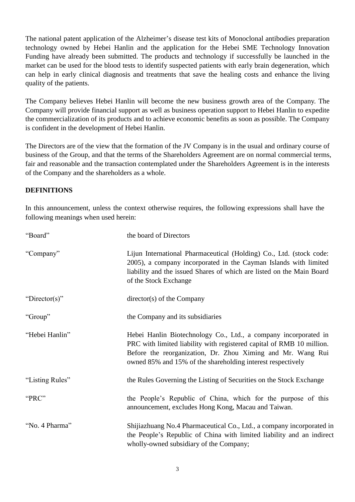The national patent application of the Alzheimer's disease test kits of Monoclonal antibodies preparation technology owned by Hebei Hanlin and the application for the Hebei SME Technology Innovation Funding have already been submitted. The products and technology if successfully be launched in the market can be used for the blood tests to identify suspected patients with early brain degeneration, which can help in early clinical diagnosis and treatments that save the healing costs and enhance the living quality of the patients.

The Company believes Hebei Hanlin will become the new business growth area of the Company. The Company will provide financial support as well as business operation support to Hebei Hanlin to expedite the commercialization of its products and to achieve economic benefits as soon as possible. The Company is confident in the development of Hebei Hanlin.

The Directors are of the view that the formation of the JV Company is in the usual and ordinary course of business of the Group, and that the terms of the Shareholders Agreement are on normal commercial terms, fair and reasonable and the transaction contemplated under the Shareholders Agreement is in the interests of the Company and the shareholders as a whole.

## **DEFINITIONS**

In this announcement, unless the context otherwise requires, the following expressions shall have the following meanings when used herein:

| "Board"         | the board of Directors                                                                                                                                                                                                                                                 |
|-----------------|------------------------------------------------------------------------------------------------------------------------------------------------------------------------------------------------------------------------------------------------------------------------|
| "Company"       | Lijun International Pharmaceutical (Holding) Co., Ltd. (stock code:<br>2005), a company incorporated in the Cayman Islands with limited<br>liability and the issued Shares of which are listed on the Main Board<br>of the Stock Exchange                              |
| "Director(s)"   | $directory(s)$ of the Company                                                                                                                                                                                                                                          |
| "Group"         | the Company and its subsidiaries                                                                                                                                                                                                                                       |
| "Hebei Hanlin"  | Hebei Hanlin Biotechnology Co., Ltd., a company incorporated in<br>PRC with limited liability with registered capital of RMB 10 million.<br>Before the reorganization, Dr. Zhou Ximing and Mr. Wang Rui<br>owned 85% and 15% of the shareholding interest respectively |
| "Listing Rules" | the Rules Governing the Listing of Securities on the Stock Exchange                                                                                                                                                                                                    |
| "PRC"           | the People's Republic of China, which for the purpose of this<br>announcement, excludes Hong Kong, Macau and Taiwan.                                                                                                                                                   |
| "No. 4 Pharma"  | Shijiazhuang No.4 Pharmaceutical Co., Ltd., a company incorporated in<br>the People's Republic of China with limited liability and an indirect<br>wholly-owned subsidiary of the Company;                                                                              |